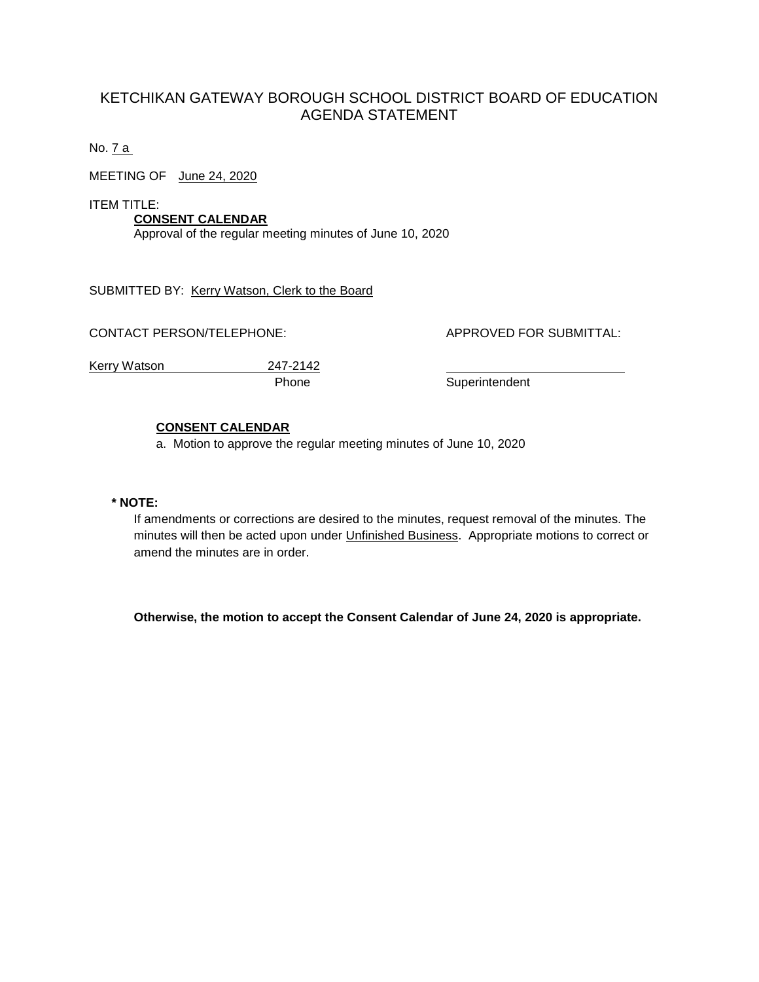# KETCHIKAN GATEWAY BOROUGH SCHOOL DISTRICT BOARD OF EDUCATION AGENDA STATEMENT

No. 7 a

MEETING OF June 24, 2020

ITEM TITLE:

**CONSENT CALENDAR** Approval of the regular meeting minutes of June 10, 2020

SUBMITTED BY: Kerry Watson, Clerk to the Board

CONTACT PERSON/TELEPHONE: APPROVED FOR SUBMITTAL:

Kerry Watson 247-2142

Phone Superintendent

# **CONSENT CALENDAR**

a. Motion to approve the regular meeting minutes of June 10, 2020

### **\* NOTE:**

If amendments or corrections are desired to the minutes, request removal of the minutes. The minutes will then be acted upon under Unfinished Business. Appropriate motions to correct or amend the minutes are in order.

**Otherwise, the motion to accept the Consent Calendar of June 24, 2020 is appropriate.**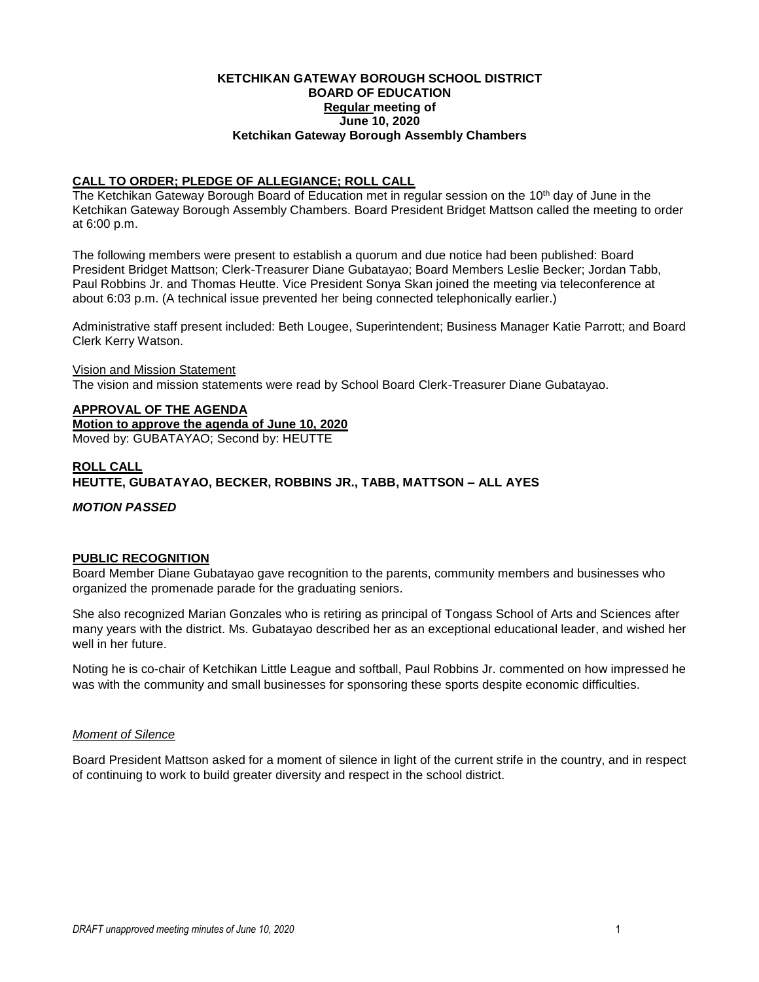#### **KETCHIKAN GATEWAY BOROUGH SCHOOL DISTRICT BOARD OF EDUCATION Regular meeting of June 10, 2020 Ketchikan Gateway Borough Assembly Chambers**

## **CALL TO ORDER; PLEDGE OF ALLEGIANCE; ROLL CALL**

The Ketchikan Gateway Borough Board of Education met in regular session on the 10<sup>th</sup> day of June in the Ketchikan Gateway Borough Assembly Chambers. Board President Bridget Mattson called the meeting to order at 6:00 p.m.

The following members were present to establish a quorum and due notice had been published: Board President Bridget Mattson; Clerk-Treasurer Diane Gubatayao; Board Members Leslie Becker; Jordan Tabb, Paul Robbins Jr. and Thomas Heutte. Vice President Sonya Skan joined the meeting via teleconference at about 6:03 p.m. (A technical issue prevented her being connected telephonically earlier.)

Administrative staff present included: Beth Lougee, Superintendent; Business Manager Katie Parrott; and Board Clerk Kerry Watson.

#### Vision and Mission Statement

The vision and mission statements were read by School Board Clerk-Treasurer Diane Gubatayao.

# **APPROVAL OF THE AGENDA**

**Motion to approve the agenda of June 10, 2020**

Moved by: GUBATAYAO; Second by: HEUTTE

### **ROLL CALL**

**HEUTTE, GUBATAYAO, BECKER, ROBBINS JR., TABB, MATTSON – ALL AYES**

*MOTION PASSED*

#### **PUBLIC RECOGNITION**

Board Member Diane Gubatayao gave recognition to the parents, community members and businesses who organized the promenade parade for the graduating seniors.

She also recognized Marian Gonzales who is retiring as principal of Tongass School of Arts and Sciences after many years with the district. Ms. Gubatayao described her as an exceptional educational leader, and wished her well in her future.

Noting he is co-chair of Ketchikan Little League and softball, Paul Robbins Jr. commented on how impressed he was with the community and small businesses for sponsoring these sports despite economic difficulties.

#### *Moment of Silence*

Board President Mattson asked for a moment of silence in light of the current strife in the country, and in respect of continuing to work to build greater diversity and respect in the school district.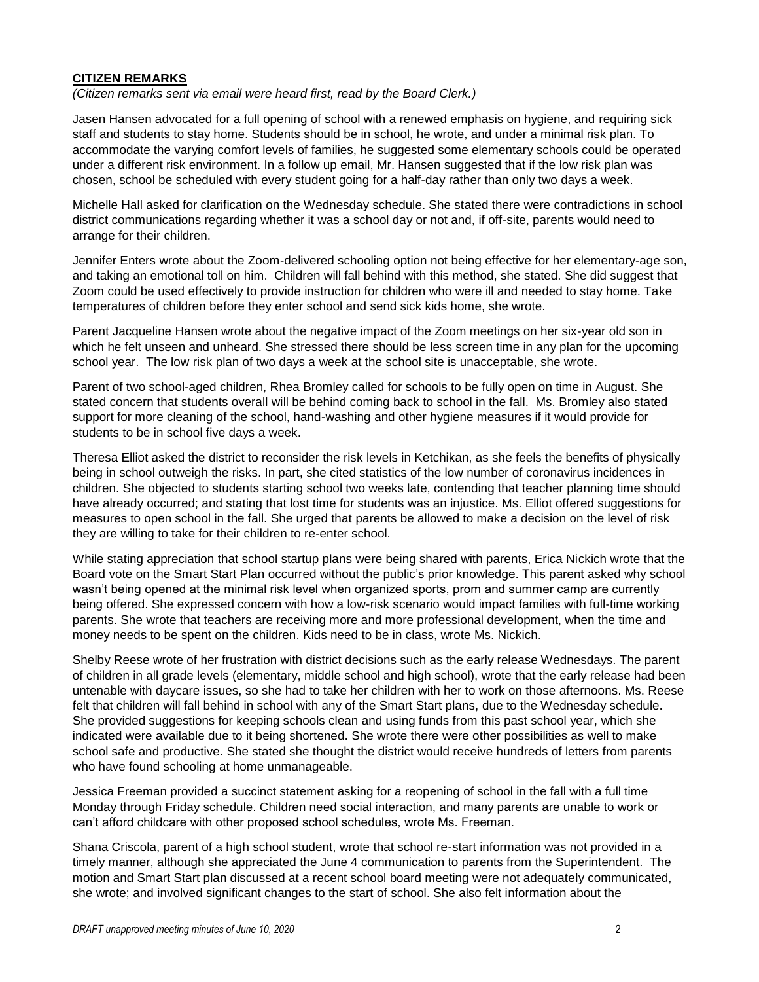#### **CITIZEN REMARKS**

*(Citizen remarks sent via email were heard first, read by the Board Clerk.)*

Jasen Hansen advocated for a full opening of school with a renewed emphasis on hygiene, and requiring sick staff and students to stay home. Students should be in school, he wrote, and under a minimal risk plan. To accommodate the varying comfort levels of families, he suggested some elementary schools could be operated under a different risk environment. In a follow up email, Mr. Hansen suggested that if the low risk plan was chosen, school be scheduled with every student going for a half-day rather than only two days a week.

Michelle Hall asked for clarification on the Wednesday schedule. She stated there were contradictions in school district communications regarding whether it was a school day or not and, if off-site, parents would need to arrange for their children.

Jennifer Enters wrote about the Zoom-delivered schooling option not being effective for her elementary-age son, and taking an emotional toll on him. Children will fall behind with this method, she stated. She did suggest that Zoom could be used effectively to provide instruction for children who were ill and needed to stay home. Take temperatures of children before they enter school and send sick kids home, she wrote.

Parent Jacqueline Hansen wrote about the negative impact of the Zoom meetings on her six-year old son in which he felt unseen and unheard. She stressed there should be less screen time in any plan for the upcoming school year. The low risk plan of two days a week at the school site is unacceptable, she wrote.

Parent of two school-aged children, Rhea Bromley called for schools to be fully open on time in August. She stated concern that students overall will be behind coming back to school in the fall. Ms. Bromley also stated support for more cleaning of the school, hand-washing and other hygiene measures if it would provide for students to be in school five days a week.

Theresa Elliot asked the district to reconsider the risk levels in Ketchikan, as she feels the benefits of physically being in school outweigh the risks. In part, she cited statistics of the low number of coronavirus incidences in children. She objected to students starting school two weeks late, contending that teacher planning time should have already occurred; and stating that lost time for students was an injustice. Ms. Elliot offered suggestions for measures to open school in the fall. She urged that parents be allowed to make a decision on the level of risk they are willing to take for their children to re-enter school.

While stating appreciation that school startup plans were being shared with parents, Erica Nickich wrote that the Board vote on the Smart Start Plan occurred without the public's prior knowledge. This parent asked why school wasn't being opened at the minimal risk level when organized sports, prom and summer camp are currently being offered. She expressed concern with how a low-risk scenario would impact families with full-time working parents. She wrote that teachers are receiving more and more professional development, when the time and money needs to be spent on the children. Kids need to be in class, wrote Ms. Nickich.

Shelby Reese wrote of her frustration with district decisions such as the early release Wednesdays. The parent of children in all grade levels (elementary, middle school and high school), wrote that the early release had been untenable with daycare issues, so she had to take her children with her to work on those afternoons. Ms. Reese felt that children will fall behind in school with any of the Smart Start plans, due to the Wednesday schedule. She provided suggestions for keeping schools clean and using funds from this past school year, which she indicated were available due to it being shortened. She wrote there were other possibilities as well to make school safe and productive. She stated she thought the district would receive hundreds of letters from parents who have found schooling at home unmanageable.

Jessica Freeman provided a succinct statement asking for a reopening of school in the fall with a full time Monday through Friday schedule. Children need social interaction, and many parents are unable to work or can't afford childcare with other proposed school schedules, wrote Ms. Freeman.

Shana Criscola, parent of a high school student, wrote that school re-start information was not provided in a timely manner, although she appreciated the June 4 communication to parents from the Superintendent. The motion and Smart Start plan discussed at a recent school board meeting were not adequately communicated, she wrote; and involved significant changes to the start of school. She also felt information about the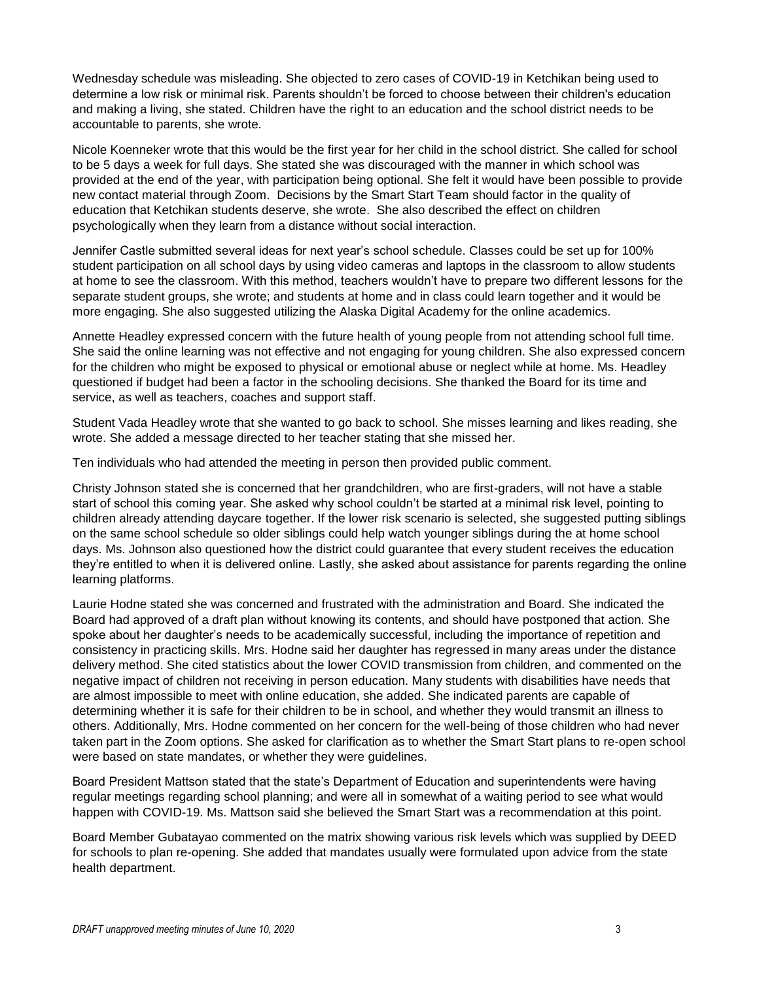Wednesday schedule was misleading. She objected to zero cases of COVID-19 in Ketchikan being used to determine a low risk or minimal risk. Parents shouldn't be forced to choose between their children's education and making a living, she stated. Children have the right to an education and the school district needs to be accountable to parents, she wrote.

Nicole Koenneker wrote that this would be the first year for her child in the school district. She called for school to be 5 days a week for full days. She stated she was discouraged with the manner in which school was provided at the end of the year, with participation being optional. She felt it would have been possible to provide new contact material through Zoom. Decisions by the Smart Start Team should factor in the quality of education that Ketchikan students deserve, she wrote. She also described the effect on children psychologically when they learn from a distance without social interaction.

Jennifer Castle submitted several ideas for next year's school schedule. Classes could be set up for 100% student participation on all school days by using video cameras and laptops in the classroom to allow students at home to see the classroom. With this method, teachers wouldn't have to prepare two different lessons for the separate student groups, she wrote; and students at home and in class could learn together and it would be more engaging. She also suggested utilizing the Alaska Digital Academy for the online academics.

Annette Headley expressed concern with the future health of young people from not attending school full time. She said the online learning was not effective and not engaging for young children. She also expressed concern for the children who might be exposed to physical or emotional abuse or neglect while at home. Ms. Headley questioned if budget had been a factor in the schooling decisions. She thanked the Board for its time and service, as well as teachers, coaches and support staff.

Student Vada Headley wrote that she wanted to go back to school. She misses learning and likes reading, she wrote. She added a message directed to her teacher stating that she missed her.

Ten individuals who had attended the meeting in person then provided public comment.

Christy Johnson stated she is concerned that her grandchildren, who are first-graders, will not have a stable start of school this coming year. She asked why school couldn't be started at a minimal risk level, pointing to children already attending daycare together. If the lower risk scenario is selected, she suggested putting siblings on the same school schedule so older siblings could help watch younger siblings during the at home school days. Ms. Johnson also questioned how the district could guarantee that every student receives the education they're entitled to when it is delivered online. Lastly, she asked about assistance for parents regarding the online learning platforms.

Laurie Hodne stated she was concerned and frustrated with the administration and Board. She indicated the Board had approved of a draft plan without knowing its contents, and should have postponed that action. She spoke about her daughter's needs to be academically successful, including the importance of repetition and consistency in practicing skills. Mrs. Hodne said her daughter has regressed in many areas under the distance delivery method. She cited statistics about the lower COVID transmission from children, and commented on the negative impact of children not receiving in person education. Many students with disabilities have needs that are almost impossible to meet with online education, she added. She indicated parents are capable of determining whether it is safe for their children to be in school, and whether they would transmit an illness to others. Additionally, Mrs. Hodne commented on her concern for the well-being of those children who had never taken part in the Zoom options. She asked for clarification as to whether the Smart Start plans to re-open school were based on state mandates, or whether they were guidelines.

Board President Mattson stated that the state's Department of Education and superintendents were having regular meetings regarding school planning; and were all in somewhat of a waiting period to see what would happen with COVID-19. Ms. Mattson said she believed the Smart Start was a recommendation at this point.

Board Member Gubatayao commented on the matrix showing various risk levels which was supplied by DEED for schools to plan re-opening. She added that mandates usually were formulated upon advice from the state health department.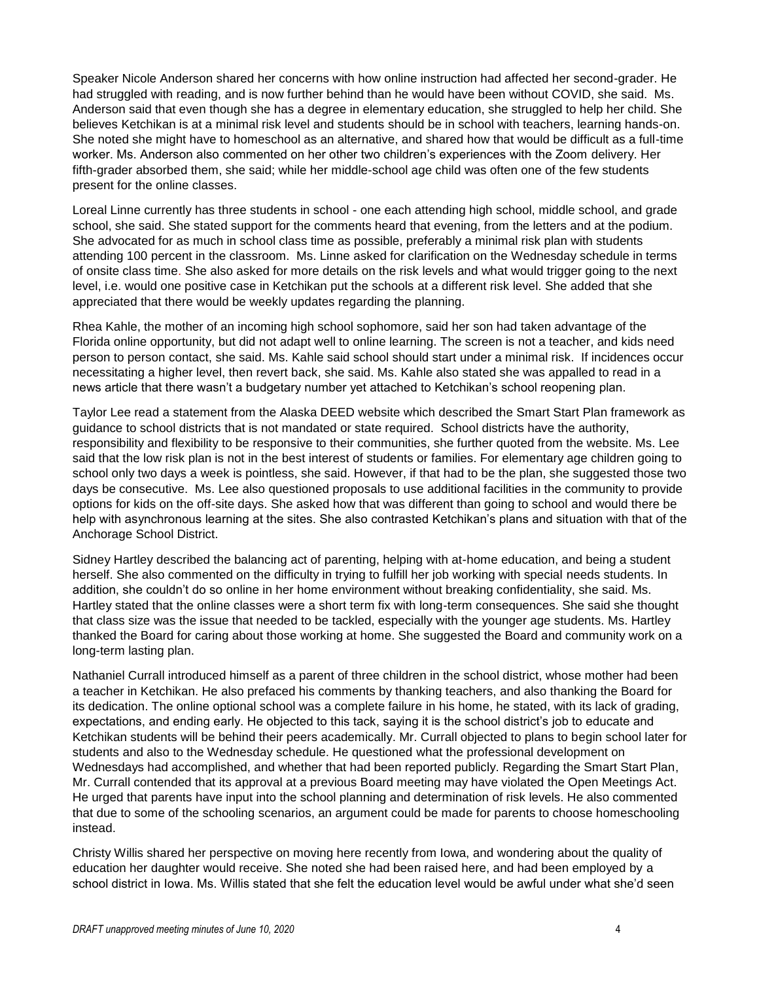Speaker Nicole Anderson shared her concerns with how online instruction had affected her second-grader. He had struggled with reading, and is now further behind than he would have been without COVID, she said. Ms. Anderson said that even though she has a degree in elementary education, she struggled to help her child. She believes Ketchikan is at a minimal risk level and students should be in school with teachers, learning hands-on. She noted she might have to homeschool as an alternative, and shared how that would be difficult as a full-time worker. Ms. Anderson also commented on her other two children's experiences with the Zoom delivery. Her fifth-grader absorbed them, she said; while her middle-school age child was often one of the few students present for the online classes.

Loreal Linne currently has three students in school - one each attending high school, middle school, and grade school, she said. She stated support for the comments heard that evening, from the letters and at the podium. She advocated for as much in school class time as possible, preferably a minimal risk plan with students attending 100 percent in the classroom. Ms. Linne asked for clarification on the Wednesday schedule in terms of onsite class time. She also asked for more details on the risk levels and what would trigger going to the next level, i.e. would one positive case in Ketchikan put the schools at a different risk level. She added that she appreciated that there would be weekly updates regarding the planning.

Rhea Kahle, the mother of an incoming high school sophomore, said her son had taken advantage of the Florida online opportunity, but did not adapt well to online learning. The screen is not a teacher, and kids need person to person contact, she said. Ms. Kahle said school should start under a minimal risk. If incidences occur necessitating a higher level, then revert back, she said. Ms. Kahle also stated she was appalled to read in a news article that there wasn't a budgetary number yet attached to Ketchikan's school reopening plan.

Taylor Lee read a statement from the Alaska DEED website which described the Smart Start Plan framework as guidance to school districts that is not mandated or state required. School districts have the authority, responsibility and flexibility to be responsive to their communities, she further quoted from the website. Ms. Lee said that the low risk plan is not in the best interest of students or families. For elementary age children going to school only two days a week is pointless, she said. However, if that had to be the plan, she suggested those two days be consecutive. Ms. Lee also questioned proposals to use additional facilities in the community to provide options for kids on the off-site days. She asked how that was different than going to school and would there be help with asynchronous learning at the sites. She also contrasted Ketchikan's plans and situation with that of the Anchorage School District.

Sidney Hartley described the balancing act of parenting, helping with at-home education, and being a student herself. She also commented on the difficulty in trying to fulfill her job working with special needs students. In addition, she couldn't do so online in her home environment without breaking confidentiality, she said. Ms. Hartley stated that the online classes were a short term fix with long-term consequences. She said she thought that class size was the issue that needed to be tackled, especially with the younger age students. Ms. Hartley thanked the Board for caring about those working at home. She suggested the Board and community work on a long-term lasting plan.

Nathaniel Currall introduced himself as a parent of three children in the school district, whose mother had been a teacher in Ketchikan. He also prefaced his comments by thanking teachers, and also thanking the Board for its dedication. The online optional school was a complete failure in his home, he stated, with its lack of grading, expectations, and ending early. He objected to this tack, saying it is the school district's job to educate and Ketchikan students will be behind their peers academically. Mr. Currall objected to plans to begin school later for students and also to the Wednesday schedule. He questioned what the professional development on Wednesdays had accomplished, and whether that had been reported publicly. Regarding the Smart Start Plan, Mr. Currall contended that its approval at a previous Board meeting may have violated the Open Meetings Act. He urged that parents have input into the school planning and determination of risk levels. He also commented that due to some of the schooling scenarios, an argument could be made for parents to choose homeschooling instead.

Christy Willis shared her perspective on moving here recently from Iowa, and wondering about the quality of education her daughter would receive. She noted she had been raised here, and had been employed by a school district in Iowa. Ms. Willis stated that she felt the education level would be awful under what she'd seen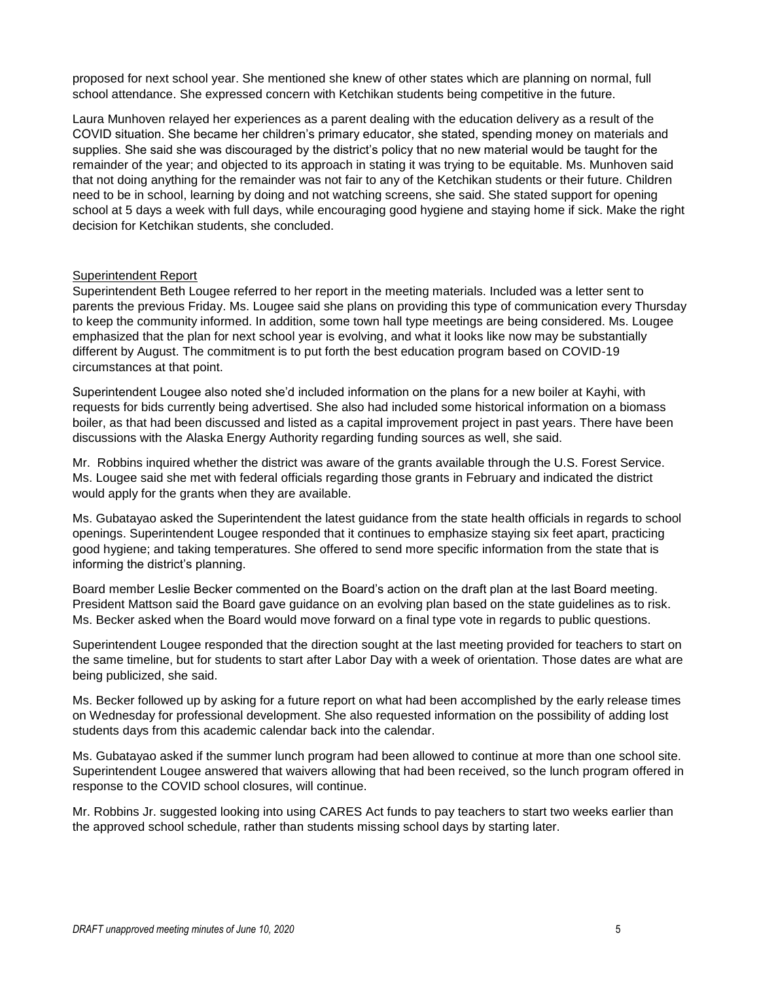proposed for next school year. She mentioned she knew of other states which are planning on normal, full school attendance. She expressed concern with Ketchikan students being competitive in the future.

Laura Munhoven relayed her experiences as a parent dealing with the education delivery as a result of the COVID situation. She became her children's primary educator, she stated, spending money on materials and supplies. She said she was discouraged by the district's policy that no new material would be taught for the remainder of the year; and objected to its approach in stating it was trying to be equitable. Ms. Munhoven said that not doing anything for the remainder was not fair to any of the Ketchikan students or their future. Children need to be in school, learning by doing and not watching screens, she said. She stated support for opening school at 5 days a week with full days, while encouraging good hygiene and staying home if sick. Make the right decision for Ketchikan students, she concluded.

#### Superintendent Report

Superintendent Beth Lougee referred to her report in the meeting materials. Included was a letter sent to parents the previous Friday. Ms. Lougee said she plans on providing this type of communication every Thursday to keep the community informed. In addition, some town hall type meetings are being considered. Ms. Lougee emphasized that the plan for next school year is evolving, and what it looks like now may be substantially different by August. The commitment is to put forth the best education program based on COVID-19 circumstances at that point.

Superintendent Lougee also noted she'd included information on the plans for a new boiler at Kayhi, with requests for bids currently being advertised. She also had included some historical information on a biomass boiler, as that had been discussed and listed as a capital improvement project in past years. There have been discussions with the Alaska Energy Authority regarding funding sources as well, she said.

Mr. Robbins inquired whether the district was aware of the grants available through the U.S. Forest Service. Ms. Lougee said she met with federal officials regarding those grants in February and indicated the district would apply for the grants when they are available.

Ms. Gubatayao asked the Superintendent the latest guidance from the state health officials in regards to school openings. Superintendent Lougee responded that it continues to emphasize staying six feet apart, practicing good hygiene; and taking temperatures. She offered to send more specific information from the state that is informing the district's planning.

Board member Leslie Becker commented on the Board's action on the draft plan at the last Board meeting. President Mattson said the Board gave guidance on an evolving plan based on the state guidelines as to risk. Ms. Becker asked when the Board would move forward on a final type vote in regards to public questions.

Superintendent Lougee responded that the direction sought at the last meeting provided for teachers to start on the same timeline, but for students to start after Labor Day with a week of orientation. Those dates are what are being publicized, she said.

Ms. Becker followed up by asking for a future report on what had been accomplished by the early release times on Wednesday for professional development. She also requested information on the possibility of adding lost students days from this academic calendar back into the calendar.

Ms. Gubatayao asked if the summer lunch program had been allowed to continue at more than one school site. Superintendent Lougee answered that waivers allowing that had been received, so the lunch program offered in response to the COVID school closures, will continue.

Mr. Robbins Jr. suggested looking into using CARES Act funds to pay teachers to start two weeks earlier than the approved school schedule, rather than students missing school days by starting later.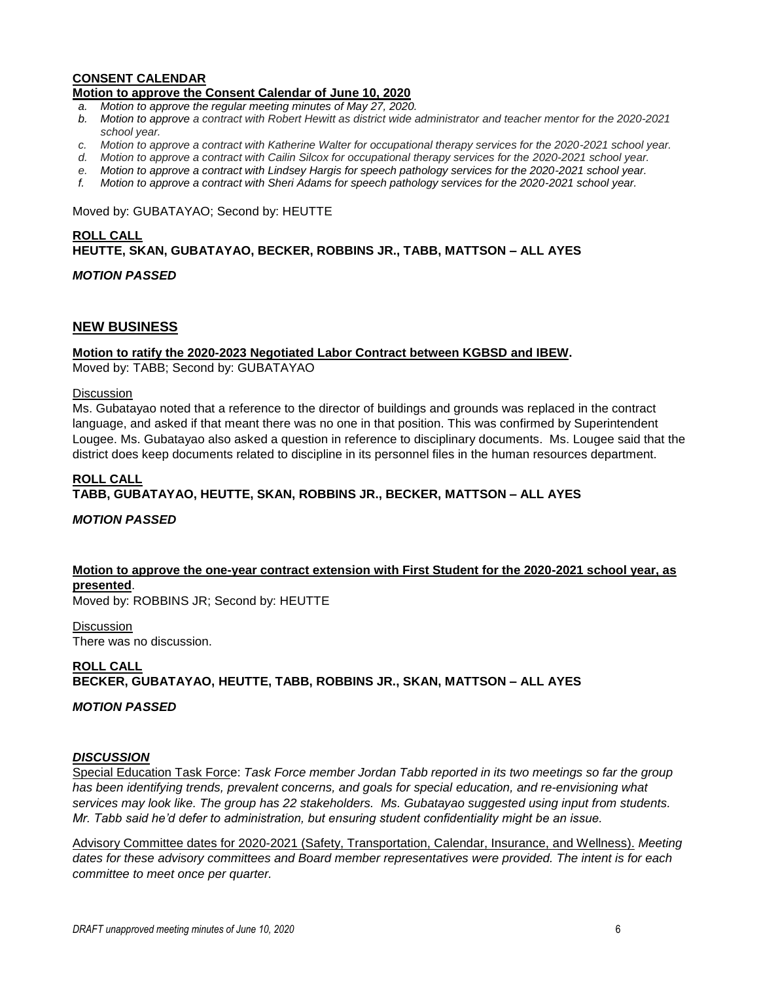#### **CONSENT CALENDAR Motion to approve the Consent Calendar of June 10, 2020**

- *a. Motion to approve the regular meeting minutes of May 27, 2020.*
- *b. Motion to approve a contract with Robert Hewitt as district wide administrator and teacher mentor for the 2020-2021 school year.*
- *c. Motion to approve a contract with Katherine Walter for occupational therapy services for the 2020-2021 school year.*
- *d. Motion to approve a contract with Cailin Silcox for occupational therapy services for the 2020-2021 school year.*
- *e. Motion to approve a contract with Lindsey Hargis for speech pathology services for the 2020-2021 school year.*
- *f. Motion to approve a contract with Sheri Adams for speech pathology services for the 2020-2021 school year.*

#### Moved by: GUBATAYAO; Second by: HEUTTE

# **ROLL CALL HEUTTE, SKAN, GUBATAYAO, BECKER, ROBBINS JR., TABB, MATTSON – ALL AYES**

# *MOTION PASSED*

## **NEW BUSINESS**

### **Motion to ratify the 2020-2023 Negotiated Labor Contract between KGBSD and IBEW.**

Moved by: TABB; Second by: GUBATAYAO

#### **Discussion**

Ms. Gubatayao noted that a reference to the director of buildings and grounds was replaced in the contract language, and asked if that meant there was no one in that position. This was confirmed by Superintendent Lougee. Ms. Gubatayao also asked a question in reference to disciplinary documents. Ms. Lougee said that the district does keep documents related to discipline in its personnel files in the human resources department.

### **ROLL CALL TABB, GUBATAYAO, HEUTTE, SKAN, ROBBINS JR., BECKER, MATTSON – ALL AYES**

# *MOTION PASSED*

# **Motion to approve the one-year contract extension with First Student for the 2020-2021 school year, as presented**.

Moved by: ROBBINS JR; Second by: HEUTTE

**Discussion** There was no discussion.

# **ROLL CALL BECKER, GUBATAYAO, HEUTTE, TABB, ROBBINS JR., SKAN, MATTSON – ALL AYES**

#### *MOTION PASSED*

#### *DISCUSSION*

Special Education Task Force: *Task Force member Jordan Tabb reported in its two meetings so far the group has been identifying trends, prevalent concerns, and goals for special education, and re-envisioning what services may look like. The group has 22 stakeholders. Ms. Gubatayao suggested using input from students. Mr. Tabb said he'd defer to administration, but ensuring student confidentiality might be an issue.*

Advisory Committee dates for 2020-2021 (Safety, Transportation, Calendar, Insurance, and Wellness). *Meeting dates for these advisory committees and Board member representatives were provided. The intent is for each committee to meet once per quarter.*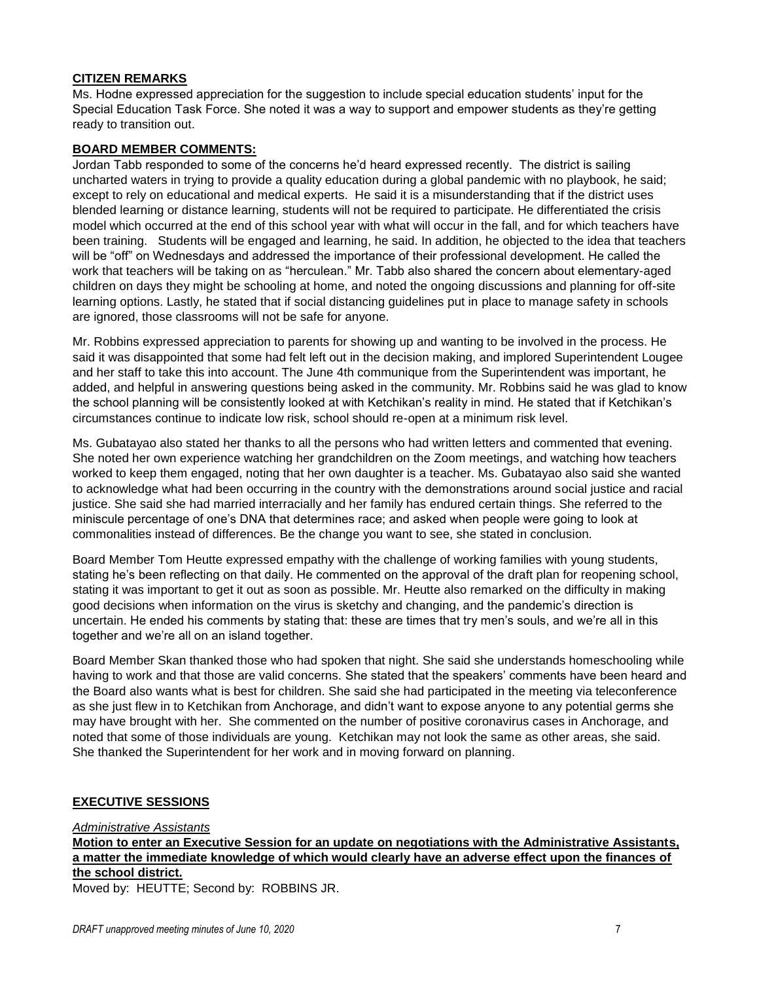### **CITIZEN REMARKS**

Ms. Hodne expressed appreciation for the suggestion to include special education students' input for the Special Education Task Force. She noted it was a way to support and empower students as they're getting ready to transition out.

# **BOARD MEMBER COMMENTS:**

Jordan Tabb responded to some of the concerns he'd heard expressed recently. The district is sailing uncharted waters in trying to provide a quality education during a global pandemic with no playbook, he said; except to rely on educational and medical experts. He said it is a misunderstanding that if the district uses blended learning or distance learning, students will not be required to participate. He differentiated the crisis model which occurred at the end of this school year with what will occur in the fall, and for which teachers have been training. Students will be engaged and learning, he said. In addition, he objected to the idea that teachers will be "off" on Wednesdays and addressed the importance of their professional development. He called the work that teachers will be taking on as "herculean." Mr. Tabb also shared the concern about elementary-aged children on days they might be schooling at home, and noted the ongoing discussions and planning for off-site learning options. Lastly, he stated that if social distancing guidelines put in place to manage safety in schools are ignored, those classrooms will not be safe for anyone.

Mr. Robbins expressed appreciation to parents for showing up and wanting to be involved in the process. He said it was disappointed that some had felt left out in the decision making, and implored Superintendent Lougee and her staff to take this into account. The June 4th communique from the Superintendent was important, he added, and helpful in answering questions being asked in the community. Mr. Robbins said he was glad to know the school planning will be consistently looked at with Ketchikan's reality in mind. He stated that if Ketchikan's circumstances continue to indicate low risk, school should re-open at a minimum risk level.

Ms. Gubatayao also stated her thanks to all the persons who had written letters and commented that evening. She noted her own experience watching her grandchildren on the Zoom meetings, and watching how teachers worked to keep them engaged, noting that her own daughter is a teacher. Ms. Gubatayao also said she wanted to acknowledge what had been occurring in the country with the demonstrations around social justice and racial justice. She said she had married interracially and her family has endured certain things. She referred to the miniscule percentage of one's DNA that determines race; and asked when people were going to look at commonalities instead of differences. Be the change you want to see, she stated in conclusion.

Board Member Tom Heutte expressed empathy with the challenge of working families with young students, stating he's been reflecting on that daily. He commented on the approval of the draft plan for reopening school, stating it was important to get it out as soon as possible. Mr. Heutte also remarked on the difficulty in making good decisions when information on the virus is sketchy and changing, and the pandemic's direction is uncertain. He ended his comments by stating that: these are times that try men's souls, and we're all in this together and we're all on an island together.

Board Member Skan thanked those who had spoken that night. She said she understands homeschooling while having to work and that those are valid concerns. She stated that the speakers' comments have been heard and the Board also wants what is best for children. She said she had participated in the meeting via teleconference as she just flew in to Ketchikan from Anchorage, and didn't want to expose anyone to any potential germs she may have brought with her. She commented on the number of positive coronavirus cases in Anchorage, and noted that some of those individuals are young. Ketchikan may not look the same as other areas, she said. She thanked the Superintendent for her work and in moving forward on planning.

# **EXECUTIVE SESSIONS**

*Administrative Assistants* 

**Motion to enter an Executive Session for an update on negotiations with the Administrative Assistants, a matter the immediate knowledge of which would clearly have an adverse effect upon the finances of the school district.**

Moved by: HEUTTE; Second by: ROBBINS JR.